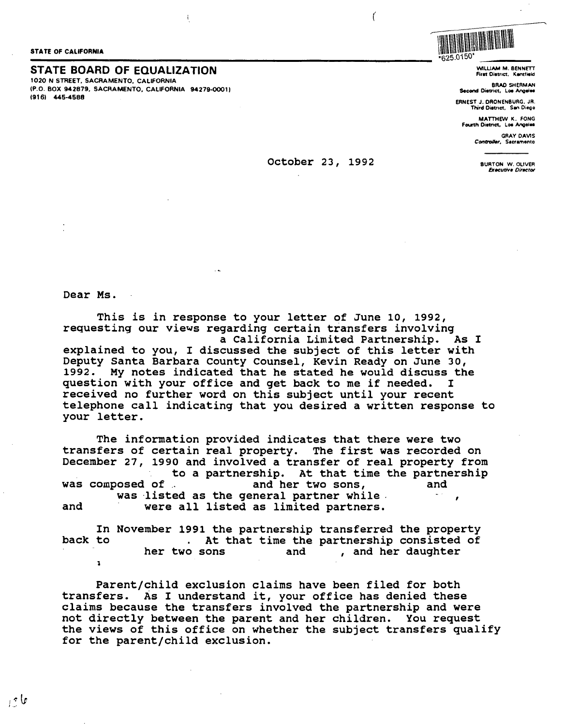STATE OF CALIFORNIA

## STATE OF CALIFORNIA<br>STATE BOARD OF EQUALIZATION

1020 N STREET. SACRAMENTO. CALIFORNIA (P.O. BOX **942879,** SACRAMENTO, CALIFORNIA 94279-00011 (9161 **445-4588** 



\*625.0"\50 WILLIAM M. BENNETT First District, Kentfield

**BRAD SHERMAN Second** Diatrict, Loe **Angoleo** 

ERNEST J. ORONENBURG. JR. Third Diatnct, San Diego

**MATTHEW K.** FONG Fowth Oiatnct, Loa **Angela** 

> GRAY DAVIS Controller, Sacramento

> > BURTON W. OLIVER **Executive Director**

October 23, 1992

 $\mathcal{L}_{\mathcal{L}}$ 

Dear Ms.

This is in response to your letter of June 10, 1992, requesting our views regarding certain transfers involving a California Limited Partnership. As I explained to you, I discussed the subject of this letter with Deputy Santa Barbara County Counsel, Kevin Ready on June 30, 1992. My notes indicated that he stated he would discuss the question with your office and get back to me if needed. I received no further word on this subject until your recent telephone call indicating that you desired a written response to your letter.

The information provided indicates that there were two transfers of certain real property. The first was recorded on December 27, 1990 and involved a transfer of real property from to a partnership. At that time the partnership<br>was composed of and her two sons, and and her two sons, was listed as the general partner while.  $\mathbf{r}$ and were all listed as limited partners.

In November 1991 the partnership transferred the property back to dominate that time the partnership consisted of her two sons and the partnership consisted of , and her daughter **l** 

Parent/child exclusion claims have been filed for both transfers. As I understand it, your office has denied these claims because the transfers involved the partnership and were not directly between the parent and her children. You request the views of this office on whether the subject transfers qualify for the parent/child exclusion.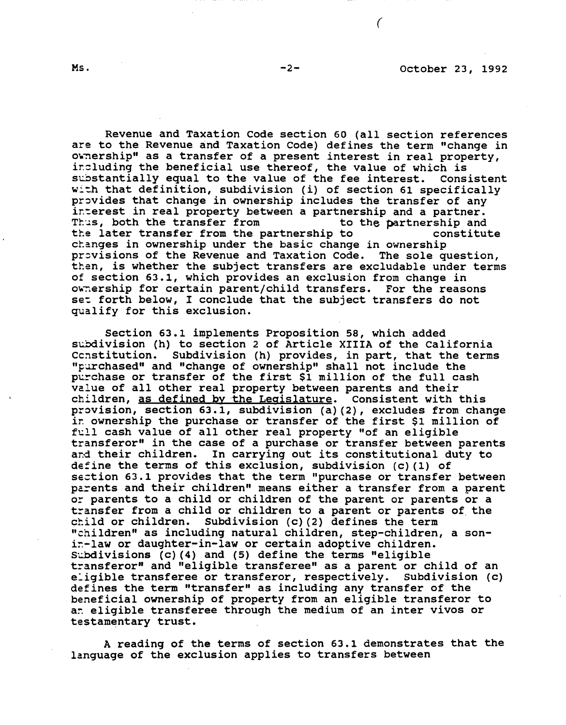Revenue and Taxation Code section 60 (all section references are to the Revenue and Taxation Code) defines the term "change in owhership" as a transfer of a present interest in real property, including the beneficial use thereof, the value of which is<br>substantially equal to the value of the fee interest. Consistent substantially equal to the value of the fee interest. with that definition, subdivision (i) of section 61 specifically provides that change in ownership includes the transfer of any interest in real property between a partnership and a partner.<br>Thus, both the transfer from to the partnership and Thus, both the transfer from tte later transfer from the partnership to constitute changes in ownership under the basic change in ownership provisions of the Revenue and Taxation Code. The sole question, then, is whether the subject transfers are excludable under terms of section 63.1, which provides an exclusion from change in ownership for certain parent/child transfers. For the reasons set forth below, I conclude that the subject transfers do not qualify for this exclusion.

Section 63.1 implements Proposition 58, which added subdivision (h) to section 2 of Article XIIIA of the California<br>Constitution. Subdivision (h) provides, in part, that the terms Subdivision (h) provides, in part, that the terms "purchased" and "change of ownership" shall not include the purchase or transfer of the first \$1 million of the full cash value of all other real property between parents and their children, as defined by the Legislature. Consistent with this provision, section 63.1, subdivision (a) (2), excludes from change ir. ownership the purchase or transfer of the first \$1 million of full cash value of all other real property "of an eligible transferor" in the case of a purchase or transfer between parents and their children. In carrying out its constitutional duty to define the terms of this exclusion, subdivision  $(c)$  (1) of section 63.1 provides that the term "purchase or transfer between parents and their children" means either a transfer from a parent or parents to a child or children of the parent or parents or a transfer from a child or children to a parent or parents of the child or children. Subdivision  $(c)$  (2) defines the term "children" as including natural children, step-children, a sonir-law or daughter-in-law or certain adoptive children. Subdivisions (c)  $(4)$  and (5) define the terms "eligible transferor" and "eligible transferee" as a parent or child of an e:igible transferee or transferor, respectively. subdivision (c) defines the term "transfer" as including any transfer of the beneficial ownership of property from an eligible transferor to an eligible transferee through the medium of an inter vivos or testamentary trust.

A reading of the terms of section 63.1 demonstrates that the language of the exclusion applies to transfers between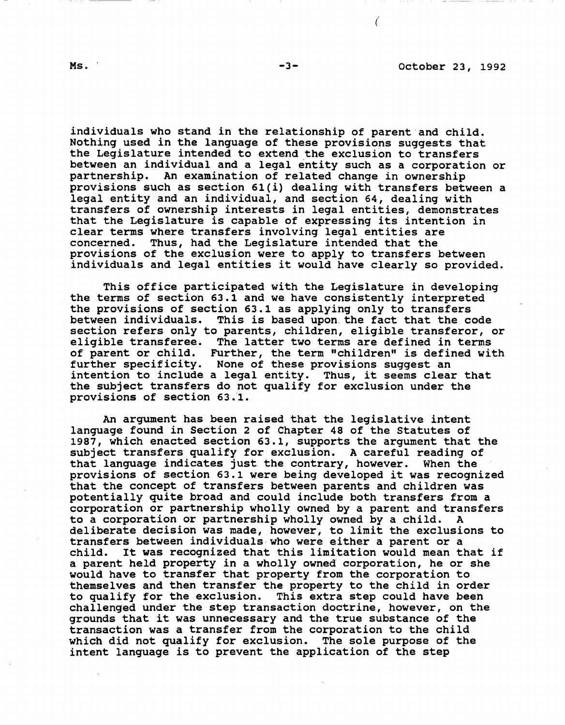individuals who stand in the relationship of parent and child. Nothing used in the language of these provisions suggests that the Legislature intended to extend the exclusion to transfers between an individual and a legal entity such as a corporation or partnership. An examination of related change in ownership provisions such as section 6l{i) dealing with transfers between a legal entity and an individual, and section 64, dealing with transfers of ownership interests in legal entities, demonstrates that the Legislature is capable of expressing its intention in clear terms where transfers involving legal entities are concerned. Thus, had the Legislature intended that the Thus, had the Legislature intended that the provisions of the exclusion were to apply to transfers between individuals and legal entities it would have clearly so provided.

This office participated with the Legislature in developing the terms of section 63.1 and we have consistently interpreted the provisions of section 63.1 as applying only to transfers between individuals. This is based upon the fact that the code section refers only to parents, children, eligible transferor, or eligible transferee. The latter two terms are defined in terms of parent or child. Further, the term "children" is defined with further specificity. None of these provisions suggest an intention to include a legal entity. Thus, it seems clear that the subject transfers do not qualify for exclusion under the provisions of section 63.1.

An argument has been raised that the legislative intent language found in Section 2 of Chapter 48 of the Statutes of 1987, which enacted section 63.1, supports the argument that the subject transfers qualify for exclusion. A careful reading of that language indicates just the contrary, however. When the provisions of section 63.1 were being developed it was recognized that the concept of transfers between parents and children was potentially quite broad and could include both transfers from a corporation or partnership wholly owned by a parent and transfers to a corporation or partnership wholly owned by a child. A deliberate decision was made, however, to limit the exclusions to transfers **between** individuals-who were either a parent or a It was recognized that this limitation would mean that if a parent held property in a wholly owned corporation, he or she would have to transfer that property from the corporation to themselves and then transfer the property to the child in order to qualify for the exclusion. This extra step could have been challenged under the step transaction doctrine, however, on the grounds that it was unnecessary and the true substance of the transaction **was a** transfer from the corporation to the child which did not qualify for exclusion. The sole purpose of the intent language is to prevent the application of the step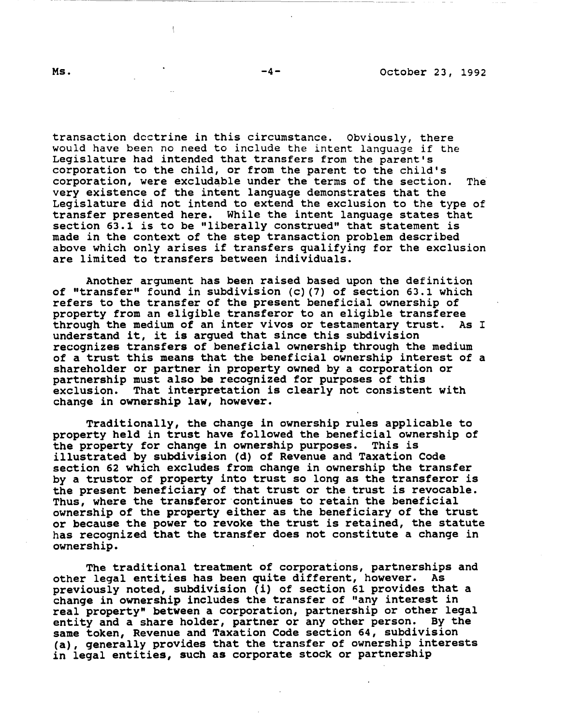transaction doctrine in this circumstance. Obviously, there would have been no need to include the intent language if the Legislature had intended that transfers from the parent's corporation to the child, or from the parent to the child's corporation, were excludable under the terms of the section. The very existence of the intent language demonstrates that the Legislature did not intend to extend the exclusion to the type of transfer presented here. While the intent language states that section 63.1 is to be "liberally construed" that statement is made in the context of the step transaction problem described above which only arises if transfers qualifying for the exclusion are limited to transfers between individuals.

Another argument has been raised based upon the definition of "transfer" found in subdivision (c) (7) of section 63.l which refers to the transfer of the present beneficial ownership of property from an eligible transferor to an eligible transferee through the medium of an inter vivos or testamentary trust. As I understand it, it is argued that since this subdivision recognizes transfers of beneficial ownership through the medium of a trust this means that the beneficial ownership interest of a shareholder or partner in property owned by a corporation or partnership must also be recognized for purposes of this exclusion. That interpretation is clearly not consistent with change in ownership **law,** however.

Traditionally, the change in ownership rules applicable to property held in trust have followed the beneficial ownership of the property for change in ownership purposes. This is illustrated by subdivision (d) of Revenue and Taxation Code section 62 which excludes from change in ownership the transfer by a trustor of property into trust so long as the transferor is the present beneficiary of that trust or the trust is revocable. Thus, where the transferor continues to retain the beneficial ownership of the property either as the beneficiary of the trust or because the power to revoke the trust is retained, the statute has recognized that the transfer does not constitute a change in ownership.

The traditional treatment of corporations, partnerships and other legal entities has been quite different, however. As previously noted, subdivision (i) of section 61 provides that a change in ownership includes the transfer of "any interest in real property" between a corporation, partnership or other legal entity and a share holder, partner or any other person. By the same token, Revenue and Taxation Code section 64, subdivision **(a),** generally provides that the transfer of ownership interests in legal entities, such as corporate stock or partnership